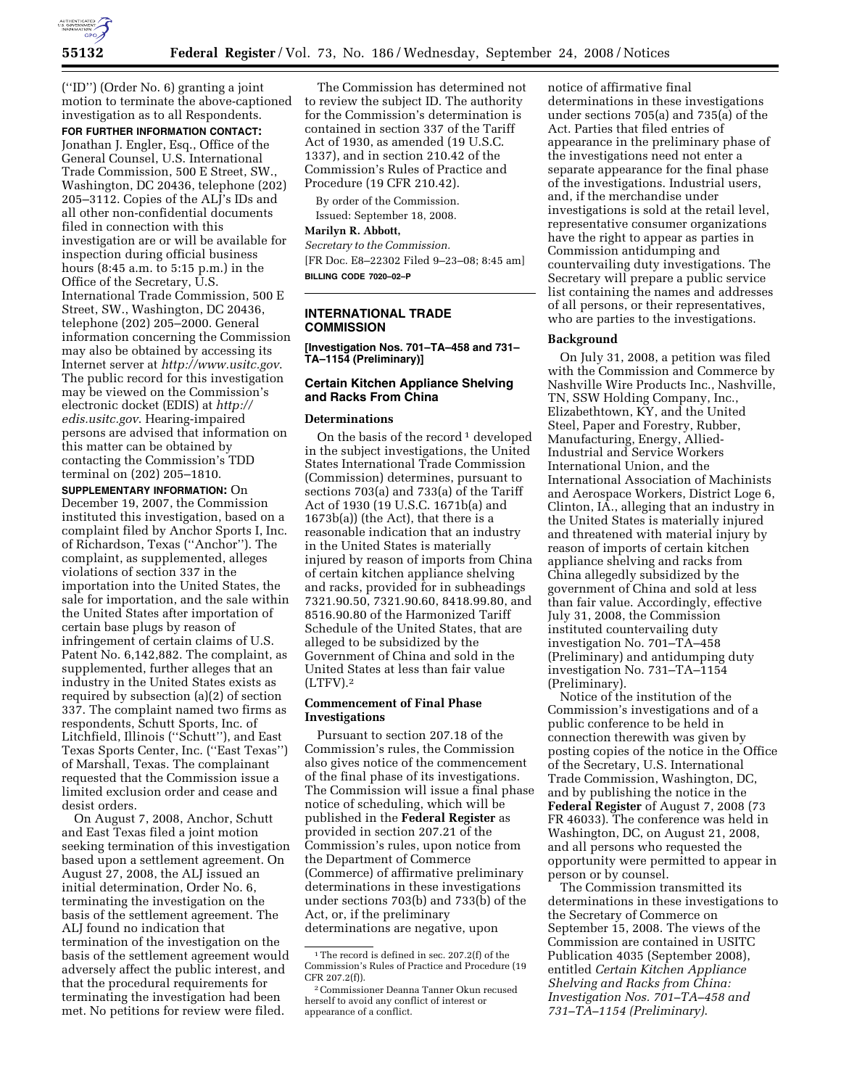

(''ID'') (Order No. 6) granting a joint motion to terminate the above-captioned investigation as to all Respondents.

# **FOR FURTHER INFORMATION CONTACT:**

Jonathan J. Engler, Esq., Office of the General Counsel, U.S. International Trade Commission, 500 E Street, SW., Washington, DC 20436, telephone (202) 205–3112. Copies of the ALJ's IDs and all other non-confidential documents filed in connection with this investigation are or will be available for inspection during official business hours (8:45 a.m. to 5:15 p.m.) in the Office of the Secretary, U.S. International Trade Commission, 500 E Street, SW., Washington, DC 20436, telephone (202) 205–2000. General information concerning the Commission may also be obtained by accessing its Internet server at *http://www.usitc.gov*. The public record for this investigation may be viewed on the Commission's electronic docket (EDIS) at *http:// edis.usitc.gov*. Hearing-impaired persons are advised that information on this matter can be obtained by contacting the Commission's TDD terminal on (202) 205–1810.

**SUPPLEMENTARY INFORMATION:** On December 19, 2007, the Commission instituted this investigation, based on a complaint filed by Anchor Sports I, Inc. of Richardson, Texas (''Anchor''). The complaint, as supplemented, alleges violations of section 337 in the importation into the United States, the sale for importation, and the sale within the United States after importation of certain base plugs by reason of infringement of certain claims of U.S. Patent No. 6,142,882. The complaint, as supplemented, further alleges that an industry in the United States exists as required by subsection (a)(2) of section 337. The complaint named two firms as respondents, Schutt Sports, Inc. of Litchfield, Illinois (''Schutt''), and East Texas Sports Center, Inc. (''East Texas'') of Marshall, Texas. The complainant requested that the Commission issue a limited exclusion order and cease and desist orders.

On August 7, 2008, Anchor, Schutt and East Texas filed a joint motion seeking termination of this investigation based upon a settlement agreement. On August 27, 2008, the ALJ issued an initial determination, Order No. 6, terminating the investigation on the basis of the settlement agreement. The ALJ found no indication that termination of the investigation on the basis of the settlement agreement would adversely affect the public interest, and that the procedural requirements for terminating the investigation had been met. No petitions for review were filed.

The Commission has determined not to review the subject ID. The authority for the Commission's determination is contained in section 337 of the Tariff Act of 1930, as amended (19 U.S.C. 1337), and in section 210.42 of the Commission's Rules of Practice and Procedure (19 CFR 210.42).

By order of the Commission. Issued: September 18, 2008.

## **Marilyn R. Abbott,**

*Secretary to the Commission.*  [FR Doc. E8–22302 Filed 9–23–08; 8:45 am] **BILLING CODE 7020–02–P** 

### **INTERNATIONAL TRADE COMMISSION**

**[Investigation Nos. 701–TA–458 and 731– TA–1154 (Preliminary)]** 

# **Certain Kitchen Appliance Shelving and Racks From China**

#### **Determinations**

On the basis of the record<sup>1</sup> developed in the subject investigations, the United States International Trade Commission (Commission) determines, pursuant to sections 703(a) and 733(a) of the Tariff Act of 1930 (19 U.S.C. 1671b(a) and 1673b(a)) (the Act), that there is a reasonable indication that an industry in the United States is materially injured by reason of imports from China of certain kitchen appliance shelving and racks, provided for in subheadings 7321.90.50, 7321.90.60, 8418.99.80, and 8516.90.80 of the Harmonized Tariff Schedule of the United States, that are alleged to be subsidized by the Government of China and sold in the United States at less than fair value  $(LTFV).<sup>2</sup>$ 

### **Commencement of Final Phase Investigations**

Pursuant to section 207.18 of the Commission's rules, the Commission also gives notice of the commencement of the final phase of its investigations. The Commission will issue a final phase notice of scheduling, which will be published in the **Federal Register** as provided in section 207.21 of the Commission's rules, upon notice from the Department of Commerce (Commerce) of affirmative preliminary determinations in these investigations under sections 703(b) and 733(b) of the Act, or, if the preliminary

determinations are negative, upon

notice of affirmative final determinations in these investigations under sections 705(a) and 735(a) of the Act. Parties that filed entries of appearance in the preliminary phase of the investigations need not enter a separate appearance for the final phase of the investigations. Industrial users, and, if the merchandise under investigations is sold at the retail level, representative consumer organizations have the right to appear as parties in Commission antidumping and countervailing duty investigations. The Secretary will prepare a public service list containing the names and addresses of all persons, or their representatives, who are parties to the investigations.

### **Background**

On July 31, 2008, a petition was filed with the Commission and Commerce by Nashville Wire Products Inc., Nashville, TN, SSW Holding Company, Inc., Elizabethtown, KY, and the United Steel, Paper and Forestry, Rubber, Manufacturing, Energy, Allied-Industrial and Service Workers International Union, and the International Association of Machinists and Aerospace Workers, District Loge 6, Clinton, IA., alleging that an industry in the United States is materially injured and threatened with material injury by reason of imports of certain kitchen appliance shelving and racks from China allegedly subsidized by the government of China and sold at less than fair value. Accordingly, effective July 31, 2008, the Commission instituted countervailing duty investigation No. 701–TA–458 (Preliminary) and antidumping duty investigation No. 731–TA–1154 (Preliminary).

Notice of the institution of the Commission's investigations and of a public conference to be held in connection therewith was given by posting copies of the notice in the Office of the Secretary, U.S. International Trade Commission, Washington, DC, and by publishing the notice in the **Federal Register** of August 7, 2008 (73 FR 46033). The conference was held in Washington, DC, on August 21, 2008, and all persons who requested the opportunity were permitted to appear in person or by counsel.

The Commission transmitted its determinations in these investigations to the Secretary of Commerce on September 15, 2008. The views of the Commission are contained in USITC Publication 4035 (September 2008), entitled *Certain Kitchen Appliance Shelving and Racks from China: Investigation Nos. 701–TA–458 and 731–TA–1154 (Preliminary)*.

<sup>&</sup>lt;sup>1</sup>The record is defined in sec. 207.2(f) of the Commission's Rules of Practice and Procedure (19 CFR 207.2(f)).

<sup>2</sup>Commissioner Deanna Tanner Okun recused herself to avoid any conflict of interest or appearance of a conflict.